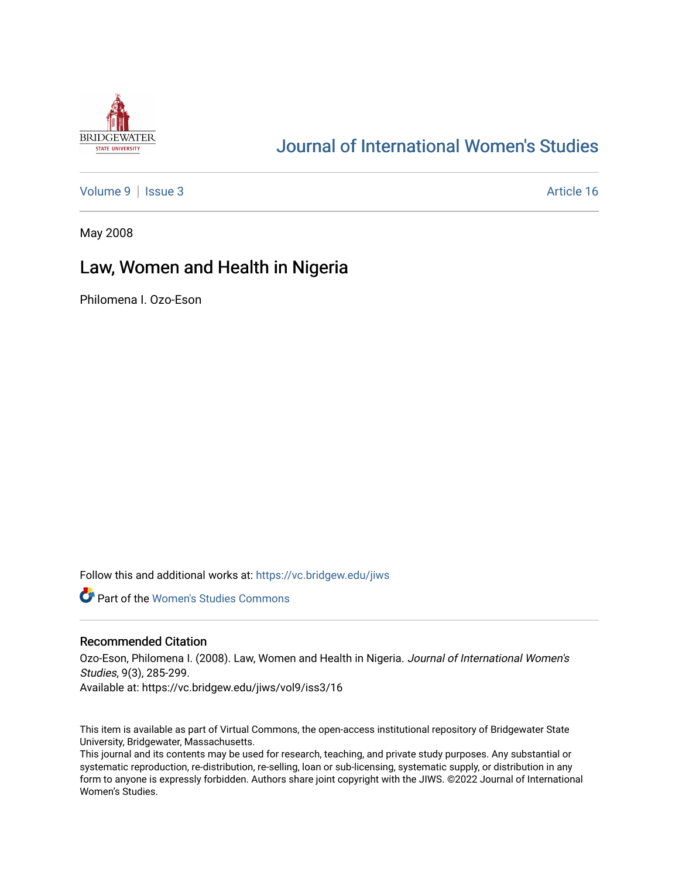

# [Journal of International Women's Studies](https://vc.bridgew.edu/jiws)

[Volume 9](https://vc.bridgew.edu/jiws/vol9) | [Issue 3](https://vc.bridgew.edu/jiws/vol9/iss3) Article 16

May 2008

# Law, Women and Health in Nigeria

Philomena I. Ozo-Eson

Follow this and additional works at: [https://vc.bridgew.edu/jiws](https://vc.bridgew.edu/jiws?utm_source=vc.bridgew.edu%2Fjiws%2Fvol9%2Fiss3%2F16&utm_medium=PDF&utm_campaign=PDFCoverPages)

**C** Part of the Women's Studies Commons

#### Recommended Citation

Ozo-Eson, Philomena I. (2008). Law, Women and Health in Nigeria. Journal of International Women's Studies, 9(3), 285-299.

Available at: https://vc.bridgew.edu/jiws/vol9/iss3/16

This item is available as part of Virtual Commons, the open-access institutional repository of Bridgewater State University, Bridgewater, Massachusetts.

This journal and its contents may be used for research, teaching, and private study purposes. Any substantial or systematic reproduction, re-distribution, re-selling, loan or sub-licensing, systematic supply, or distribution in any form to anyone is expressly forbidden. Authors share joint copyright with the JIWS. ©2022 Journal of International Women's Studies.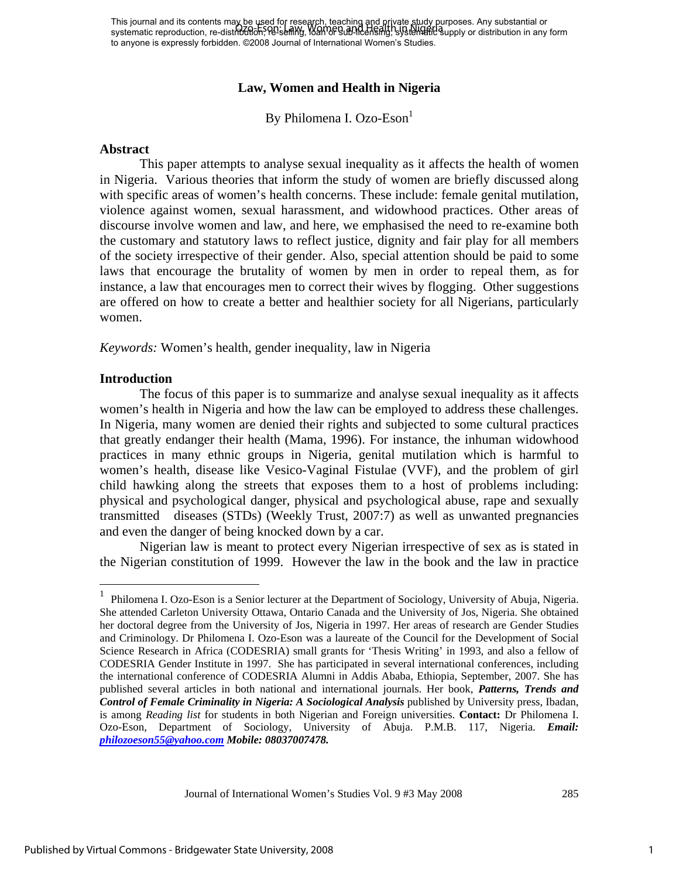This journal and its contents may be used for research, teaching and private study purposes. Any substantial or This journal and his concents may be deed to heselling, loading the allegt party budget pubbles. Any substantial or<br>systematic reproduction, re-distribution, PD sening, Ioan of Bublican single systematic supply or distribu to anyone is expressly forbidden. ©2008 Journal of International Women's Studies.

#### **Law, Women and Health in Nigeria**

By Philomena I. Ozo-Eson

#### **Abstract**

This paper attempts to analyse sexual inequality as it affects the health of women in Nigeria. Various theories that inform the study of women are briefly discussed along with specific areas of women's health concerns. These include: female genital mutilation, violence against women, sexual harassment, and widowhood practices. Other areas of discourse involve women and law, and here, we emphasised the need to re-examine both the customary and statutory laws to reflect justice, dignity and fair play for all members of the society irrespective of their gender. Also, special attention should be paid to some laws that encourage the brutality of women by men in order to repeal them, as for instance, a law that encourages men to correct their wives by flogging. Other suggestions are offered on how to create a better and healthier society for all Nigerians, particularly women.

*Keywords:* Women's health, gender inequality, law in Nigeria

#### **Introduction**

 $\overline{a}$ 

The focus of this paper is to summarize and analyse sexual inequality as it affects women's health in Nigeria and how the law can be employed to address these challenges. In Nigeria, many women are denied their rights and subjected to some cultural practices that greatly endanger their health (Mama, 1996). For instance, the inhuman widowhood practices in many ethnic groups in Nigeria, genital mutilation which is harmful to women's health, disease like Vesico-Vaginal Fistulae (VVF), and the problem of girl child hawking along the streets that exposes them to a host of problems including: physical and psychological danger, physical and psychological abuse, rape and sexually transmitted diseases (STDs) (Weekly Trust, 2007:7) as well as unwanted pregnancies and even the danger of being knocked down by a car.

Nigerian law is meant to protect every Nigerian irrespective of sex as is stated in the Nigerian constitution of 1999. However the law in the book and the law in practice

<sup>1</sup> Philomena I. Ozo-Eson is a Senior lecturer at the Department of Sociology, University of Abuja, Nigeria. She attended Carleton University Ottawa, Ontario Canada and the University of Jos, Nigeria. She obtained her doctoral degree from the University of Jos, Nigeria in 1997. Her areas of research are Gender Studies and Criminology. Dr Philomena I. Ozo-Eson was a laureate of the Council for the Development of Social Science Research in Africa (CODESRIA) small grants for 'Thesis Writing' in 1993, and also a fellow of CODESRIA Gender Institute in 1997. She has participated in several international conferences, including the international conference of CODESRIA Alumni in Addis Ababa, Ethiopia, September, 2007. She has published several articles in both national and international journals. Her book, *Patterns, Trends and Control of Female Criminality in Nigeria: A Sociological Analysis* published by University press, Ibadan, is among *Reading list* for students in both Nigerian and Foreign universities. **Contact:** Dr Philomena I. Ozo-Eson, Department of Sociology, University of Abuja. P.M.B. 117, Nigeria. *Email: philozoeson55@yahoo.com Mobile: 08037007478.*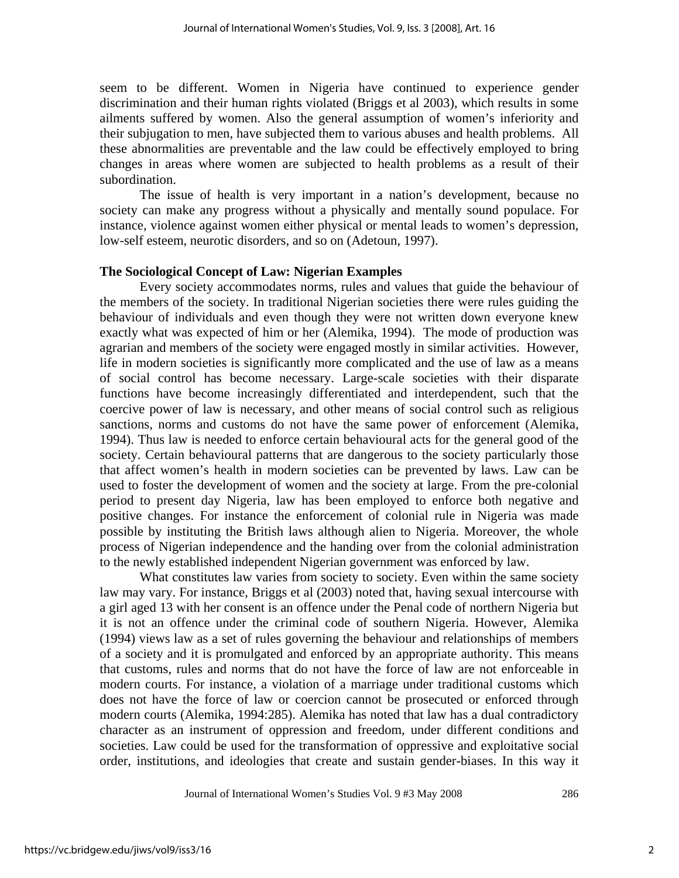seem to be different. Women in Nigeria have continued to experience gender discrimination and their human rights violated (Briggs et al 2003), which results in some ailments suffered by women. Also the general assumption of women's inferiority and their subjugation to men, have subjected them to various abuses and health problems. All these abnormalities are preventable and the law could be effectively employed to bring changes in areas where women are subjected to health problems as a result of their subordination.

The issue of health is very important in a nation's development, because no society can make any progress without a physically and mentally sound populace. For instance, violence against women either physical or mental leads to women's depression, low-self esteem, neurotic disorders, and so on (Adetoun, 1997).

#### **The Sociological Concept of Law: Nigerian Examples**

Every society accommodates norms, rules and values that guide the behaviour of the members of the society. In traditional Nigerian societies there were rules guiding the behaviour of individuals and even though they were not written down everyone knew exactly what was expected of him or her (Alemika, 1994). The mode of production was agrarian and members of the society were engaged mostly in similar activities. However, life in modern societies is significantly more complicated and the use of law as a means of social control has become necessary. Large-scale societies with their disparate functions have become increasingly differentiated and interdependent, such that the coercive power of law is necessary, and other means of social control such as religious sanctions, norms and customs do not have the same power of enforcement (Alemika, 1994). Thus law is needed to enforce certain behavioural acts for the general good of the society. Certain behavioural patterns that are dangerous to the society particularly those that affect women's health in modern societies can be prevented by laws. Law can be used to foster the development of women and the society at large. From the pre-colonial period to present day Nigeria, law has been employed to enforce both negative and positive changes. For instance the enforcement of colonial rule in Nigeria was made possible by instituting the British laws although alien to Nigeria. Moreover, the whole process of Nigerian independence and the handing over from the colonial administration to the newly established independent Nigerian government was enforced by law.

What constitutes law varies from society to society. Even within the same society law may vary. For instance, Briggs et al (2003) noted that, having sexual intercourse with a girl aged 13 with her consent is an offence under the Penal code of northern Nigeria but it is not an offence under the criminal code of southern Nigeria. However, Alemika (1994) views law as a set of rules governing the behaviour and relationships of members of a society and it is promulgated and enforced by an appropriate authority. This means that customs, rules and norms that do not have the force of law are not enforceable in modern courts. For instance, a violation of a marriage under traditional customs which does not have the force of law or coercion cannot be prosecuted or enforced through modern courts (Alemika, 1994:285). Alemika has noted that law has a dual contradictory character as an instrument of oppression and freedom, under different conditions and societies. Law could be used for the transformation of oppressive and exploitative social order, institutions, and ideologies that create and sustain gender-biases. In this way it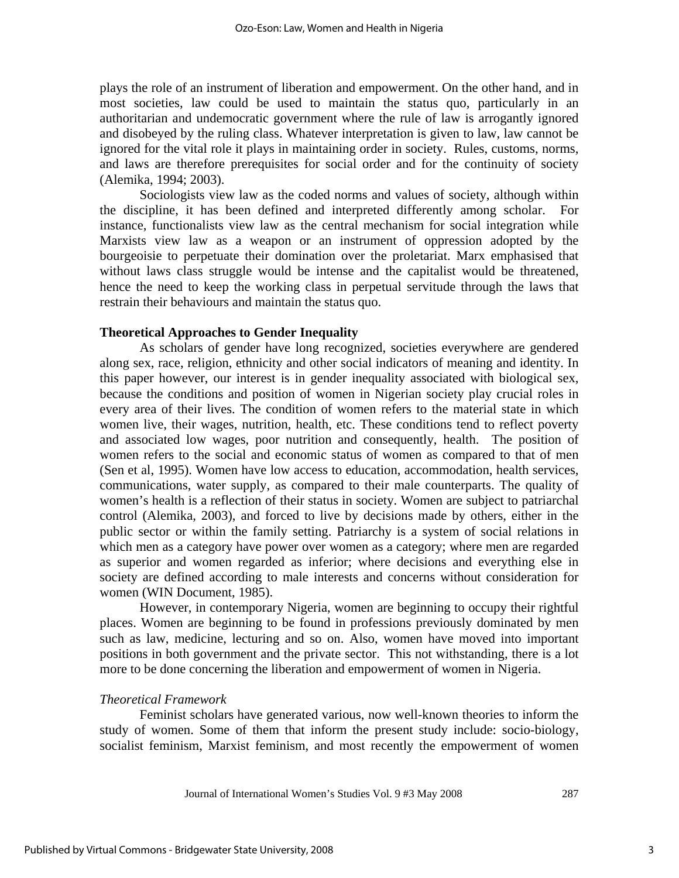plays the role of an instrument of liberation and empowerment. On the other hand, and in most societies, law could be used to maintain the status quo, particularly in an authoritarian and undemocratic government where the rule of law is arrogantly ignored and disobeyed by the ruling class. Whatever interpretation is given to law, law cannot be ignored for the vital role it plays in maintaining order in society. Rules, customs, norms, and laws are therefore prerequisites for social order and for the continuity of society (Alemika, 1994; 2003).

Sociologists view law as the coded norms and values of society, although within the discipline, it has been defined and interpreted differently among scholar. For instance, functionalists view law as the central mechanism for social integration while Marxists view law as a weapon or an instrument of oppression adopted by the bourgeoisie to perpetuate their domination over the proletariat. Marx emphasised that without laws class struggle would be intense and the capitalist would be threatened, hence the need to keep the working class in perpetual servitude through the laws that restrain their behaviours and maintain the status quo.

#### **Theoretical Approaches to Gender Inequality**

As scholars of gender have long recognized, societies everywhere are gendered along sex, race, religion, ethnicity and other social indicators of meaning and identity. In this paper however, our interest is in gender inequality associated with biological sex, because the conditions and position of women in Nigerian society play crucial roles in every area of their lives. The condition of women refers to the material state in which women live, their wages, nutrition, health, etc. These conditions tend to reflect poverty and associated low wages, poor nutrition and consequently, health. The position of women refers to the social and economic status of women as compared to that of men (Sen et al, 1995). Women have low access to education, accommodation, health services, communications, water supply, as compared to their male counterparts. The quality of women's health is a reflection of their status in society. Women are subject to patriarchal control (Alemika, 2003), and forced to live by decisions made by others, either in the public sector or within the family setting. Patriarchy is a system of social relations in which men as a category have power over women as a category; where men are regarded as superior and women regarded as inferior; where decisions and everything else in society are defined according to male interests and concerns without consideration for women (WIN Document, 1985).

However, in contemporary Nigeria, women are beginning to occupy their rightful places. Women are beginning to be found in professions previously dominated by men such as law, medicine, lecturing and so on. Also, women have moved into important positions in both government and the private sector. This not withstanding, there is a lot more to be done concerning the liberation and empowerment of women in Nigeria.

#### *Theoretical Framework*

Feminist scholars have generated various, now well-known theories to inform the study of women. Some of them that inform the present study include: socio-biology, socialist feminism, Marxist feminism, and most recently the empowerment of women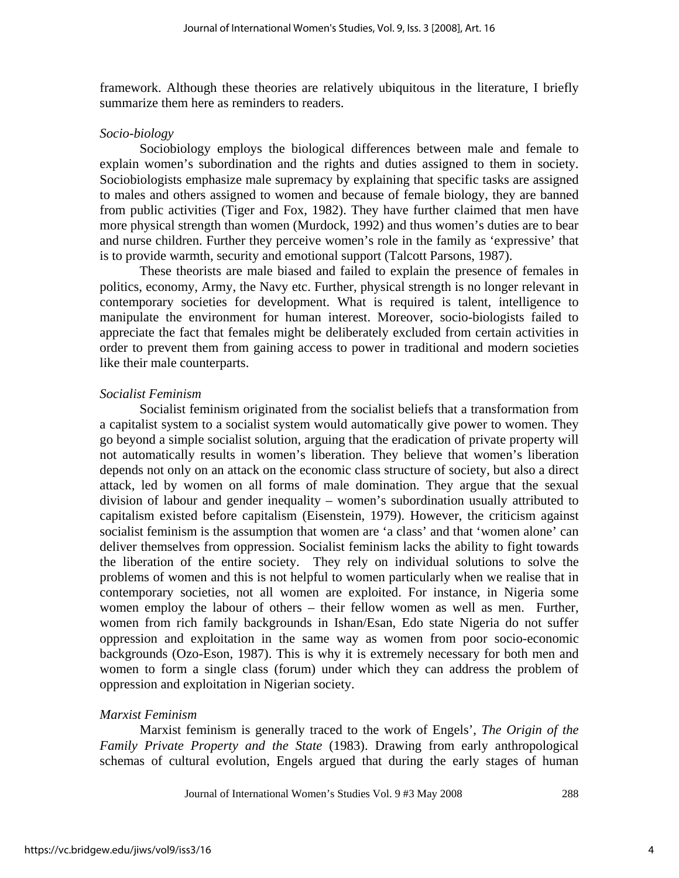framework. Although these theories are relatively ubiquitous in the literature, I briefly summarize them here as reminders to readers.

#### *Socio-biology*

Sociobiology employs the biological differences between male and female to explain women's subordination and the rights and duties assigned to them in society. Sociobiologists emphasize male supremacy by explaining that specific tasks are assigned to males and others assigned to women and because of female biology, they are banned from public activities (Tiger and Fox, 1982). They have further claimed that men have more physical strength than women (Murdock, 1992) and thus women's duties are to bear and nurse children. Further they perceive women's role in the family as 'expressive' that is to provide warmth, security and emotional support (Talcott Parsons, 1987).

These theorists are male biased and failed to explain the presence of females in politics, economy, Army, the Navy etc. Further, physical strength is no longer relevant in contemporary societies for development. What is required is talent, intelligence to manipulate the environment for human interest. Moreover, socio-biologists failed to appreciate the fact that females might be deliberately excluded from certain activities in order to prevent them from gaining access to power in traditional and modern societies like their male counterparts.

#### *Socialist Feminism*

Socialist feminism originated from the socialist beliefs that a transformation from a capitalist system to a socialist system would automatically give power to women. They go beyond a simple socialist solution, arguing that the eradication of private property will not automatically results in women's liberation. They believe that women's liberation depends not only on an attack on the economic class structure of society, but also a direct attack, led by women on all forms of male domination. They argue that the sexual division of labour and gender inequality – women's subordination usually attributed to capitalism existed before capitalism (Eisenstein, 1979). However, the criticism against socialist feminism is the assumption that women are 'a class' and that 'women alone' can deliver themselves from oppression. Socialist feminism lacks the ability to fight towards the liberation of the entire society. They rely on individual solutions to solve the problems of women and this is not helpful to women particularly when we realise that in contemporary societies, not all women are exploited. For instance, in Nigeria some women employ the labour of others – their fellow women as well as men. Further, women from rich family backgrounds in Ishan/Esan, Edo state Nigeria do not suffer oppression and exploitation in the same way as women from poor socio-economic backgrounds (Ozo-Eson, 1987). This is why it is extremely necessary for both men and women to form a single class (forum) under which they can address the problem of oppression and exploitation in Nigerian society.

### *Marxist Feminism*

Marxist feminism is generally traced to the work of Engels', *The Origin of the Family Private Property and the State* (1983). Drawing from early anthropological schemas of cultural evolution, Engels argued that during the early stages of human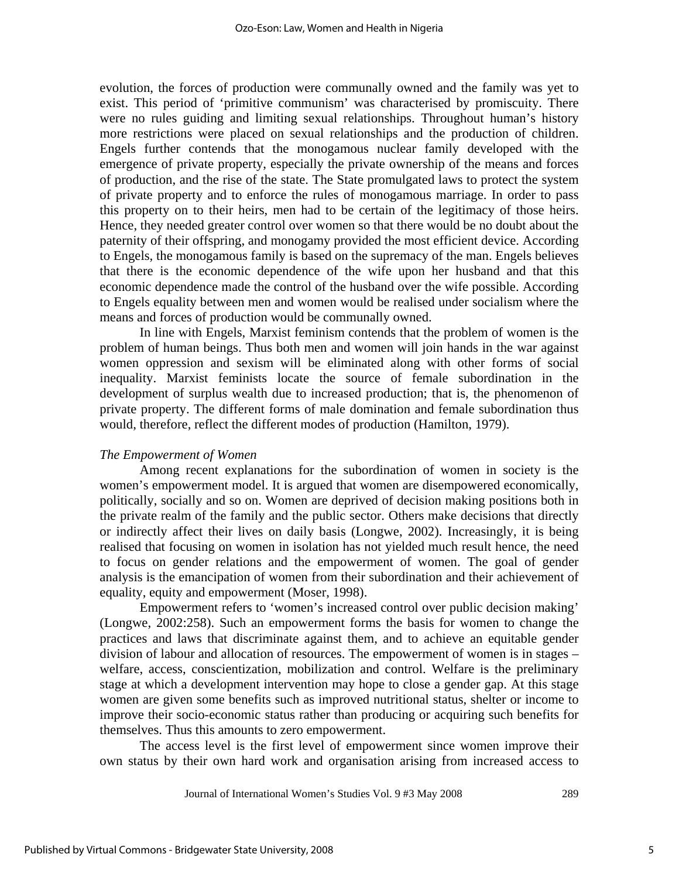evolution, the forces of production were communally owned and the family was yet to exist. This period of 'primitive communism' was characterised by promiscuity. There were no rules guiding and limiting sexual relationships. Throughout human's history more restrictions were placed on sexual relationships and the production of children. Engels further contends that the monogamous nuclear family developed with the emergence of private property, especially the private ownership of the means and forces of production, and the rise of the state. The State promulgated laws to protect the system of private property and to enforce the rules of monogamous marriage. In order to pass this property on to their heirs, men had to be certain of the legitimacy of those heirs. Hence, they needed greater control over women so that there would be no doubt about the paternity of their offspring, and monogamy provided the most efficient device. According to Engels, the monogamous family is based on the supremacy of the man. Engels believes that there is the economic dependence of the wife upon her husband and that this economic dependence made the control of the husband over the wife possible. According to Engels equality between men and women would be realised under socialism where the means and forces of production would be communally owned.

In line with Engels, Marxist feminism contends that the problem of women is the problem of human beings. Thus both men and women will join hands in the war against women oppression and sexism will be eliminated along with other forms of social inequality. Marxist feminists locate the source of female subordination in the development of surplus wealth due to increased production; that is, the phenomenon of private property. The different forms of male domination and female subordination thus would, therefore, reflect the different modes of production (Hamilton, 1979).

#### *The Empowerment of Women*

Among recent explanations for the subordination of women in society is the women's empowerment model. It is argued that women are disempowered economically, politically, socially and so on. Women are deprived of decision making positions both in the private realm of the family and the public sector. Others make decisions that directly or indirectly affect their lives on daily basis (Longwe, 2002). Increasingly, it is being realised that focusing on women in isolation has not yielded much result hence, the need to focus on gender relations and the empowerment of women. The goal of gender analysis is the emancipation of women from their subordination and their achievement of equality, equity and empowerment (Moser, 1998).

Empowerment refers to 'women's increased control over public decision making' (Longwe, 2002:258). Such an empowerment forms the basis for women to change the practices and laws that discriminate against them, and to achieve an equitable gender division of labour and allocation of resources. The empowerment of women is in stages – welfare, access, conscientization, mobilization and control. Welfare is the preliminary stage at which a development intervention may hope to close a gender gap. At this stage women are given some benefits such as improved nutritional status, shelter or income to improve their socio-economic status rather than producing or acquiring such benefits for themselves. Thus this amounts to zero empowerment.

 The access level is the first level of empowerment since women improve their own status by their own hard work and organisation arising from increased access to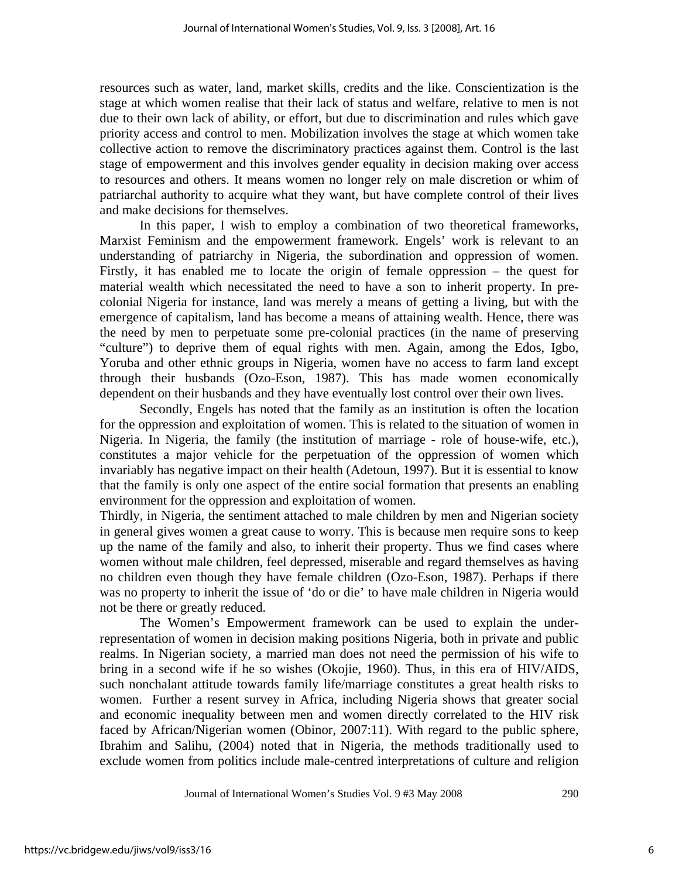resources such as water, land, market skills, credits and the like. Conscientization is the stage at which women realise that their lack of status and welfare, relative to men is not due to their own lack of ability, or effort, but due to discrimination and rules which gave priority access and control to men. Mobilization involves the stage at which women take collective action to remove the discriminatory practices against them. Control is the last stage of empowerment and this involves gender equality in decision making over access to resources and others. It means women no longer rely on male discretion or whim of patriarchal authority to acquire what they want, but have complete control of their lives and make decisions for themselves.

 In this paper, I wish to employ a combination of two theoretical frameworks, Marxist Feminism and the empowerment framework. Engels' work is relevant to an understanding of patriarchy in Nigeria, the subordination and oppression of women. Firstly, it has enabled me to locate the origin of female oppression – the quest for material wealth which necessitated the need to have a son to inherit property. In precolonial Nigeria for instance, land was merely a means of getting a living, but with the emergence of capitalism, land has become a means of attaining wealth. Hence, there was the need by men to perpetuate some pre-colonial practices (in the name of preserving "culture") to deprive them of equal rights with men. Again, among the Edos, Igbo, Yoruba and other ethnic groups in Nigeria, women have no access to farm land except through their husbands (Ozo-Eson, 1987). This has made women economically dependent on their husbands and they have eventually lost control over their own lives.

 Secondly, Engels has noted that the family as an institution is often the location for the oppression and exploitation of women. This is related to the situation of women in Nigeria. In Nigeria, the family (the institution of marriage - role of house-wife, etc.), constitutes a major vehicle for the perpetuation of the oppression of women which invariably has negative impact on their health (Adetoun, 1997). But it is essential to know that the family is only one aspect of the entire social formation that presents an enabling environment for the oppression and exploitation of women.

Thirdly, in Nigeria, the sentiment attached to male children by men and Nigerian society in general gives women a great cause to worry. This is because men require sons to keep up the name of the family and also, to inherit their property. Thus we find cases where women without male children, feel depressed, miserable and regard themselves as having no children even though they have female children (Ozo-Eson, 1987). Perhaps if there was no property to inherit the issue of 'do or die' to have male children in Nigeria would not be there or greatly reduced.

 The Women's Empowerment framework can be used to explain the underrepresentation of women in decision making positions Nigeria, both in private and public realms. In Nigerian society, a married man does not need the permission of his wife to bring in a second wife if he so wishes (Okojie, 1960). Thus, in this era of HIV/AIDS, such nonchalant attitude towards family life/marriage constitutes a great health risks to women. Further a resent survey in Africa, including Nigeria shows that greater social and economic inequality between men and women directly correlated to the HIV risk faced by African/Nigerian women (Obinor, 2007:11). With regard to the public sphere, Ibrahim and Salihu, (2004) noted that in Nigeria, the methods traditionally used to exclude women from politics include male-centred interpretations of culture and religion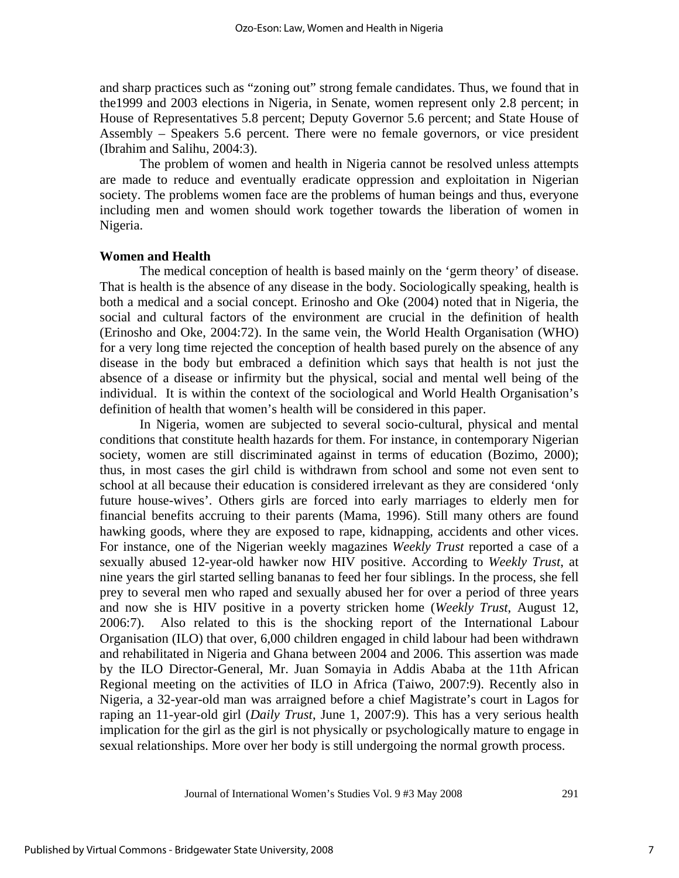and sharp practices such as "zoning out" strong female candidates. Thus, we found that in the1999 and 2003 elections in Nigeria, in Senate, women represent only 2.8 percent; in House of Representatives 5.8 percent; Deputy Governor 5.6 percent; and State House of Assembly – Speakers 5.6 percent. There were no female governors, or vice president (Ibrahim and Salihu, 2004:3).

The problem of women and health in Nigeria cannot be resolved unless attempts are made to reduce and eventually eradicate oppression and exploitation in Nigerian society. The problems women face are the problems of human beings and thus, everyone including men and women should work together towards the liberation of women in Nigeria.

#### **Women and Health**

The medical conception of health is based mainly on the 'germ theory' of disease. That is health is the absence of any disease in the body. Sociologically speaking, health is both a medical and a social concept. Erinosho and Oke (2004) noted that in Nigeria, the social and cultural factors of the environment are crucial in the definition of health (Erinosho and Oke, 2004:72). In the same vein, the World Health Organisation (WHO) for a very long time rejected the conception of health based purely on the absence of any disease in the body but embraced a definition which says that health is not just the absence of a disease or infirmity but the physical, social and mental well being of the individual. It is within the context of the sociological and World Health Organisation's definition of health that women's health will be considered in this paper.

In Nigeria, women are subjected to several socio-cultural, physical and mental conditions that constitute health hazards for them. For instance, in contemporary Nigerian society, women are still discriminated against in terms of education (Bozimo, 2000); thus, in most cases the girl child is withdrawn from school and some not even sent to school at all because their education is considered irrelevant as they are considered 'only future house-wives'. Others girls are forced into early marriages to elderly men for financial benefits accruing to their parents (Mama, 1996). Still many others are found hawking goods, where they are exposed to rape, kidnapping, accidents and other vices. For instance, one of the Nigerian weekly magazines *Weekly Trust* reported a case of a sexually abused 12-year-old hawker now HIV positive. According to *Weekly Trust*, at nine years the girl started selling bananas to feed her four siblings. In the process, she fell prey to several men who raped and sexually abused her for over a period of three years and now she is HIV positive in a poverty stricken home (*Weekly Trust*, August 12, 2006:7). Also related to this is the shocking report of the International Labour Organisation (ILO) that over, 6,000 children engaged in child labour had been withdrawn and rehabilitated in Nigeria and Ghana between 2004 and 2006. This assertion was made by the ILO Director-General, Mr. Juan Somayia in Addis Ababa at the 11th African Regional meeting on the activities of ILO in Africa (Taiwo, 2007:9). Recently also in Nigeria, a 32-year-old man was arraigned before a chief Magistrate's court in Lagos for raping an 11-year-old girl (*Daily Trust*, June 1, 2007:9). This has a very serious health implication for the girl as the girl is not physically or psychologically mature to engage in sexual relationships. More over her body is still undergoing the normal growth process.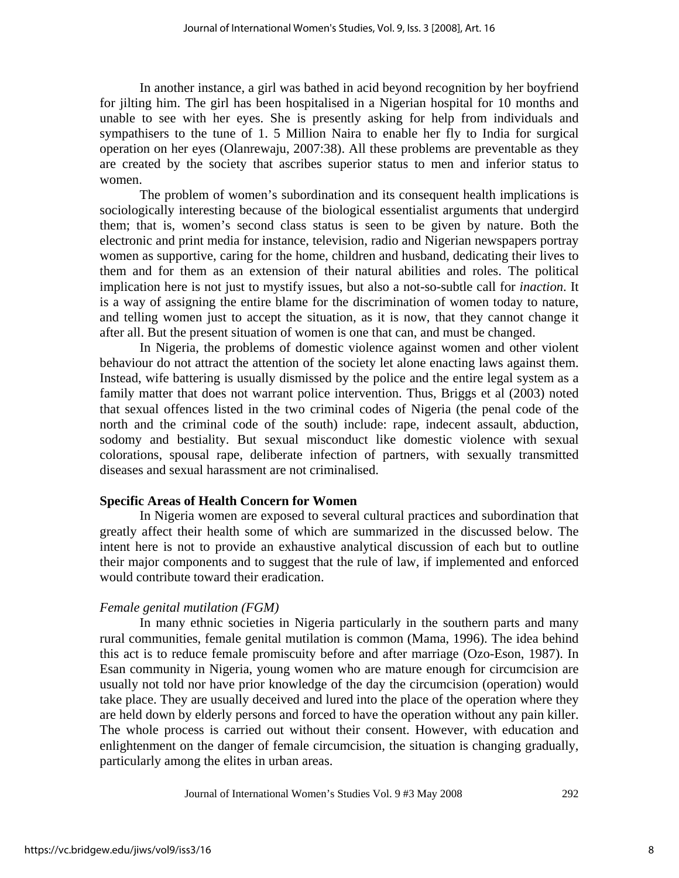In another instance, a girl was bathed in acid beyond recognition by her boyfriend for jilting him. The girl has been hospitalised in a Nigerian hospital for 10 months and unable to see with her eyes. She is presently asking for help from individuals and sympathisers to the tune of 1. 5 Million Naira to enable her fly to India for surgical operation on her eyes (Olanrewaju, 2007:38). All these problems are preventable as they are created by the society that ascribes superior status to men and inferior status to women.

The problem of women's subordination and its consequent health implications is sociologically interesting because of the biological essentialist arguments that undergird them; that is, women's second class status is seen to be given by nature. Both the electronic and print media for instance, television, radio and Nigerian newspapers portray women as supportive, caring for the home, children and husband, dedicating their lives to them and for them as an extension of their natural abilities and roles. The political implication here is not just to mystify issues, but also a not-so-subtle call for *inaction*. It is a way of assigning the entire blame for the discrimination of women today to nature, and telling women just to accept the situation, as it is now, that they cannot change it after all. But the present situation of women is one that can, and must be changed.

In Nigeria, the problems of domestic violence against women and other violent behaviour do not attract the attention of the society let alone enacting laws against them. Instead, wife battering is usually dismissed by the police and the entire legal system as a family matter that does not warrant police intervention. Thus, Briggs et al (2003) noted that sexual offences listed in the two criminal codes of Nigeria (the penal code of the north and the criminal code of the south) include: rape, indecent assault, abduction, sodomy and bestiality. But sexual misconduct like domestic violence with sexual colorations, spousal rape, deliberate infection of partners, with sexually transmitted diseases and sexual harassment are not criminalised.

#### **Specific Areas of Health Concern for Women**

In Nigeria women are exposed to several cultural practices and subordination that greatly affect their health some of which are summarized in the discussed below. The intent here is not to provide an exhaustive analytical discussion of each but to outline their major components and to suggest that the rule of law, if implemented and enforced would contribute toward their eradication.

#### *Female genital mutilation (FGM)*

In many ethnic societies in Nigeria particularly in the southern parts and many rural communities, female genital mutilation is common (Mama, 1996). The idea behind this act is to reduce female promiscuity before and after marriage (Ozo-Eson, 1987). In Esan community in Nigeria, young women who are mature enough for circumcision are usually not told nor have prior knowledge of the day the circumcision (operation) would take place. They are usually deceived and lured into the place of the operation where they are held down by elderly persons and forced to have the operation without any pain killer. The whole process is carried out without their consent. However, with education and enlightenment on the danger of female circumcision, the situation is changing gradually, particularly among the elites in urban areas.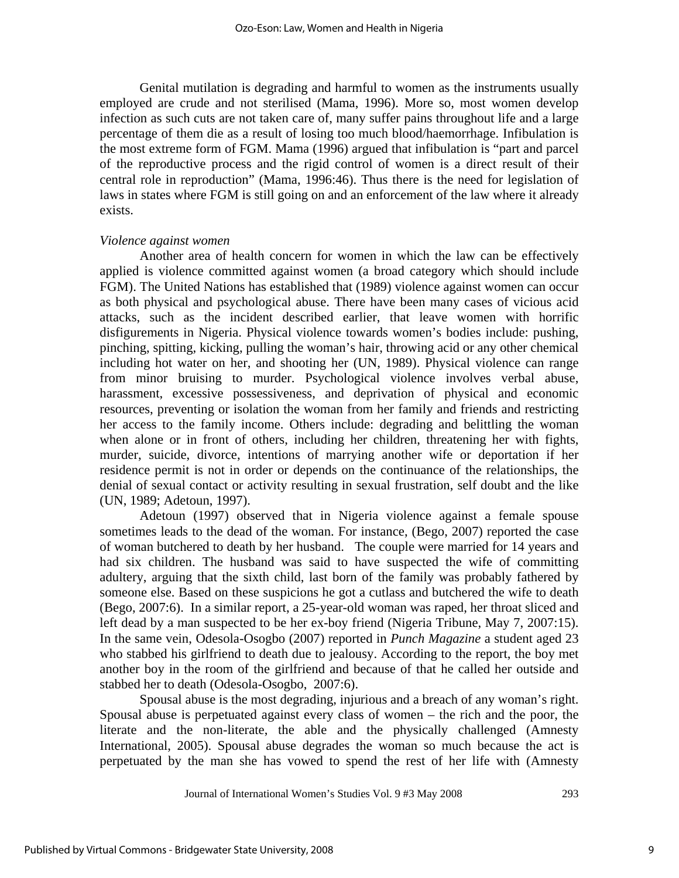Genital mutilation is degrading and harmful to women as the instruments usually employed are crude and not sterilised (Mama, 1996). More so, most women develop infection as such cuts are not taken care of, many suffer pains throughout life and a large percentage of them die as a result of losing too much blood/haemorrhage. Infibulation is the most extreme form of FGM. Mama (1996) argued that infibulation is "part and parcel of the reproductive process and the rigid control of women is a direct result of their central role in reproduction" (Mama, 1996:46). Thus there is the need for legislation of laws in states where FGM is still going on and an enforcement of the law where it already exists.

#### *Violence against women*

Another area of health concern for women in which the law can be effectively applied is violence committed against women (a broad category which should include FGM). The United Nations has established that (1989) violence against women can occur as both physical and psychological abuse. There have been many cases of vicious acid attacks, such as the incident described earlier, that leave women with horrific disfigurements in Nigeria. Physical violence towards women's bodies include: pushing, pinching, spitting, kicking, pulling the woman's hair, throwing acid or any other chemical including hot water on her, and shooting her (UN, 1989). Physical violence can range from minor bruising to murder. Psychological violence involves verbal abuse, harassment, excessive possessiveness, and deprivation of physical and economic resources, preventing or isolation the woman from her family and friends and restricting her access to the family income. Others include: degrading and belittling the woman when alone or in front of others, including her children, threatening her with fights, murder, suicide, divorce, intentions of marrying another wife or deportation if her residence permit is not in order or depends on the continuance of the relationships, the denial of sexual contact or activity resulting in sexual frustration, self doubt and the like (UN, 1989; Adetoun, 1997).

 Adetoun (1997) observed that in Nigeria violence against a female spouse sometimes leads to the dead of the woman. For instance, (Bego, 2007) reported the case of woman butchered to death by her husband. The couple were married for 14 years and had six children. The husband was said to have suspected the wife of committing adultery, arguing that the sixth child, last born of the family was probably fathered by someone else. Based on these suspicions he got a cutlass and butchered the wife to death (Bego, 2007:6). In a similar report, a 25-year-old woman was raped, her throat sliced and left dead by a man suspected to be her ex-boy friend (Nigeria Tribune, May 7, 2007:15). In the same vein, Odesola-Osogbo (2007) reported in *Punch Magazine* a student aged 23 who stabbed his girlfriend to death due to jealousy. According to the report, the boy met another boy in the room of the girlfriend and because of that he called her outside and stabbed her to death (Odesola-Osogbo, 2007:6).

Spousal abuse is the most degrading, injurious and a breach of any woman's right. Spousal abuse is perpetuated against every class of women – the rich and the poor, the literate and the non-literate, the able and the physically challenged (Amnesty International, 2005). Spousal abuse degrades the woman so much because the act is perpetuated by the man she has vowed to spend the rest of her life with (Amnesty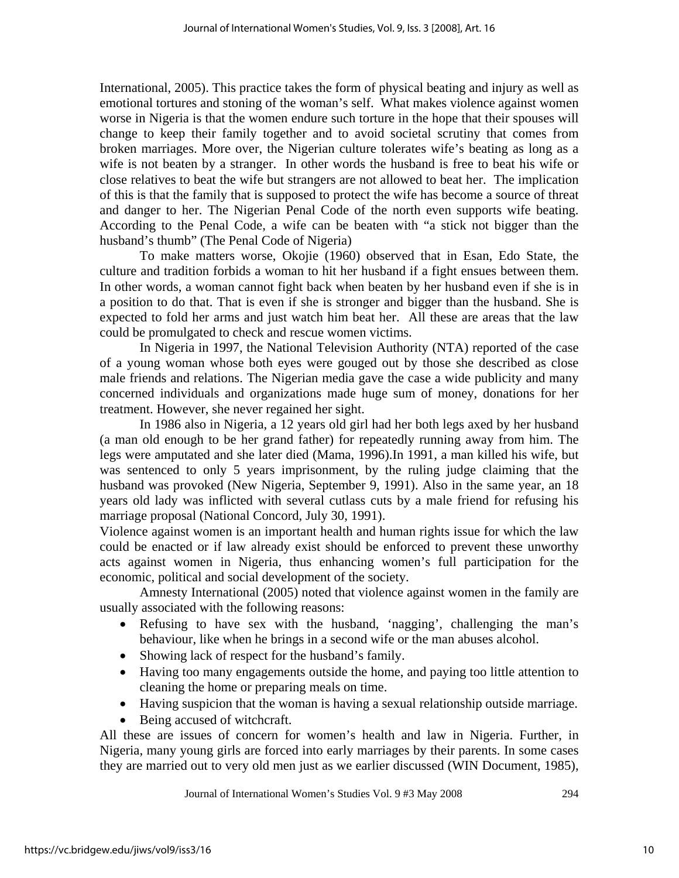International, 2005). This practice takes the form of physical beating and injury as well as emotional tortures and stoning of the woman's self. What makes violence against women worse in Nigeria is that the women endure such torture in the hope that their spouses will change to keep their family together and to avoid societal scrutiny that comes from broken marriages. More over, the Nigerian culture tolerates wife's beating as long as a wife is not beaten by a stranger. In other words the husband is free to beat his wife or close relatives to beat the wife but strangers are not allowed to beat her. The implication of this is that the family that is supposed to protect the wife has become a source of threat and danger to her. The Nigerian Penal Code of the north even supports wife beating. According to the Penal Code, a wife can be beaten with "a stick not bigger than the husband's thumb" (The Penal Code of Nigeria)

To make matters worse, Okojie (1960) observed that in Esan, Edo State, the culture and tradition forbids a woman to hit her husband if a fight ensues between them. In other words, a woman cannot fight back when beaten by her husband even if she is in a position to do that. That is even if she is stronger and bigger than the husband. She is expected to fold her arms and just watch him beat her. All these are areas that the law could be promulgated to check and rescue women victims.

In Nigeria in 1997, the National Television Authority (NTA) reported of the case of a young woman whose both eyes were gouged out by those she described as close male friends and relations. The Nigerian media gave the case a wide publicity and many concerned individuals and organizations made huge sum of money, donations for her treatment. However, she never regained her sight.

In 1986 also in Nigeria, a 12 years old girl had her both legs axed by her husband (a man old enough to be her grand father) for repeatedly running away from him. The legs were amputated and she later died (Mama, 1996).In 1991, a man killed his wife, but was sentenced to only 5 years imprisonment, by the ruling judge claiming that the husband was provoked (New Nigeria, September 9, 1991). Also in the same year, an 18 years old lady was inflicted with several cutlass cuts by a male friend for refusing his marriage proposal (National Concord, July 30, 1991).

Violence against women is an important health and human rights issue for which the law could be enacted or if law already exist should be enforced to prevent these unworthy acts against women in Nigeria, thus enhancing women's full participation for the economic, political and social development of the society.

Amnesty International (2005) noted that violence against women in the family are usually associated with the following reasons:

- Refusing to have sex with the husband, 'nagging', challenging the man's behaviour, like when he brings in a second wife or the man abuses alcohol.
- Showing lack of respect for the husband's family.
- Having too many engagements outside the home, and paying too little attention to cleaning the home or preparing meals on time.
- Having suspicion that the woman is having a sexual relationship outside marriage.
- Being accused of witchcraft.

All these are issues of concern for women's health and law in Nigeria. Further, in Nigeria, many young girls are forced into early marriages by their parents. In some cases they are married out to very old men just as we earlier discussed (WIN Document, 1985),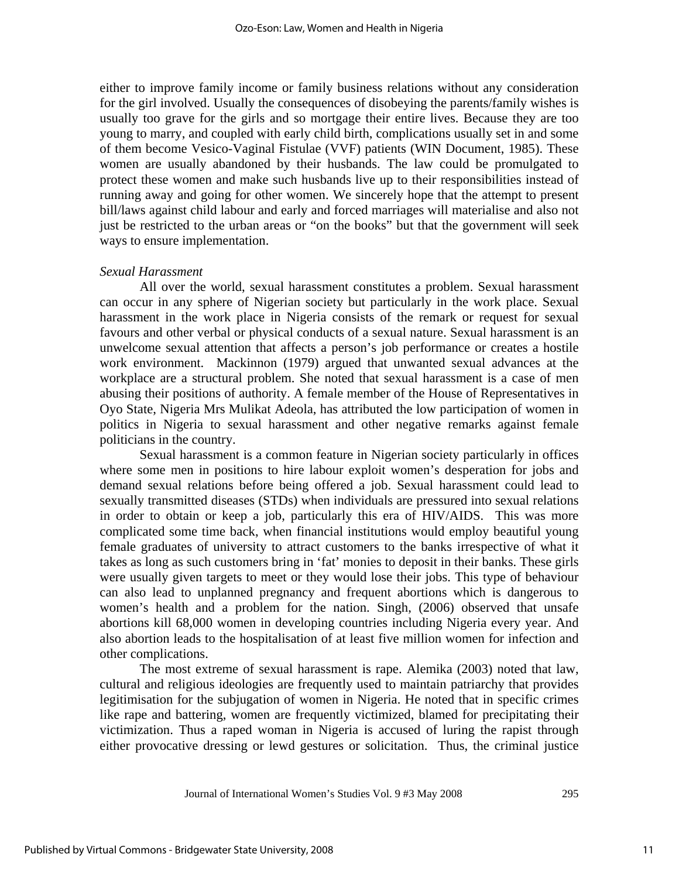either to improve family income or family business relations without any consideration for the girl involved. Usually the consequences of disobeying the parents/family wishes is usually too grave for the girls and so mortgage their entire lives. Because they are too young to marry, and coupled with early child birth, complications usually set in and some of them become Vesico-Vaginal Fistulae (VVF) patients (WIN Document, 1985). These women are usually abandoned by their husbands. The law could be promulgated to protect these women and make such husbands live up to their responsibilities instead of running away and going for other women. We sincerely hope that the attempt to present bill/laws against child labour and early and forced marriages will materialise and also not just be restricted to the urban areas or "on the books" but that the government will seek ways to ensure implementation.

#### *Sexual Harassment*

All over the world, sexual harassment constitutes a problem. Sexual harassment can occur in any sphere of Nigerian society but particularly in the work place. Sexual harassment in the work place in Nigeria consists of the remark or request for sexual favours and other verbal or physical conducts of a sexual nature. Sexual harassment is an unwelcome sexual attention that affects a person's job performance or creates a hostile work environment. Mackinnon (1979) argued that unwanted sexual advances at the workplace are a structural problem. She noted that sexual harassment is a case of men abusing their positions of authority. A female member of the House of Representatives in Oyo State, Nigeria Mrs Mulikat Adeola, has attributed the low participation of women in politics in Nigeria to sexual harassment and other negative remarks against female politicians in the country.

Sexual harassment is a common feature in Nigerian society particularly in offices where some men in positions to hire labour exploit women's desperation for jobs and demand sexual relations before being offered a job. Sexual harassment could lead to sexually transmitted diseases (STDs) when individuals are pressured into sexual relations in order to obtain or keep a job, particularly this era of HIV/AIDS. This was more complicated some time back, when financial institutions would employ beautiful young female graduates of university to attract customers to the banks irrespective of what it takes as long as such customers bring in 'fat' monies to deposit in their banks. These girls were usually given targets to meet or they would lose their jobs. This type of behaviour can also lead to unplanned pregnancy and frequent abortions which is dangerous to women's health and a problem for the nation. Singh, (2006) observed that unsafe abortions kill 68,000 women in developing countries including Nigeria every year. And also abortion leads to the hospitalisation of at least five million women for infection and other complications.

The most extreme of sexual harassment is rape. Alemika (2003) noted that law, cultural and religious ideologies are frequently used to maintain patriarchy that provides legitimisation for the subjugation of women in Nigeria. He noted that in specific crimes like rape and battering, women are frequently victimized, blamed for precipitating their victimization. Thus a raped woman in Nigeria is accused of luring the rapist through either provocative dressing or lewd gestures or solicitation. Thus, the criminal justice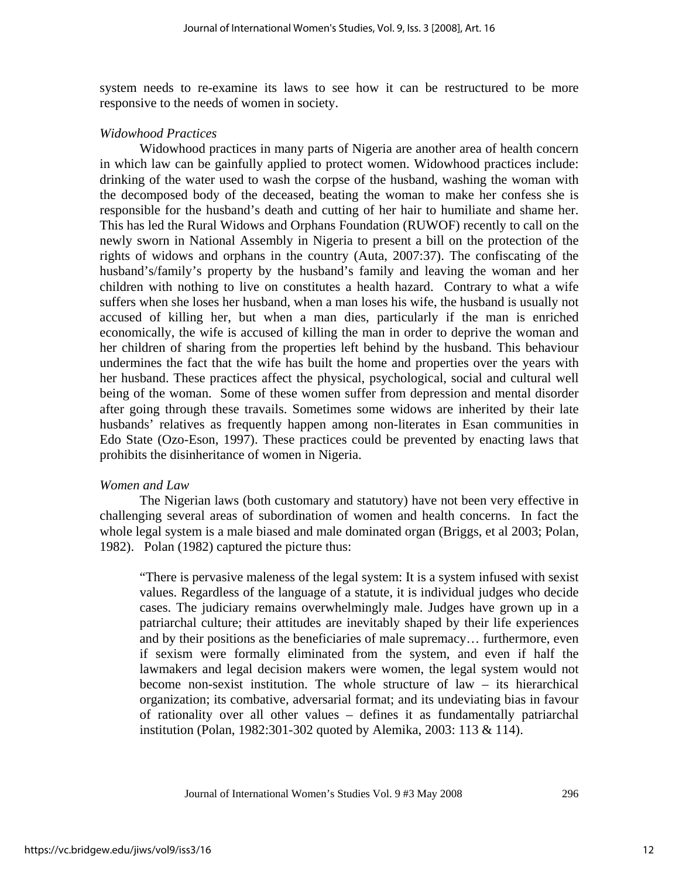system needs to re-examine its laws to see how it can be restructured to be more responsive to the needs of women in society.

#### *Widowhood Practices*

Widowhood practices in many parts of Nigeria are another area of health concern in which law can be gainfully applied to protect women. Widowhood practices include: drinking of the water used to wash the corpse of the husband, washing the woman with the decomposed body of the deceased, beating the woman to make her confess she is responsible for the husband's death and cutting of her hair to humiliate and shame her. This has led the Rural Widows and Orphans Foundation (RUWOF) recently to call on the newly sworn in National Assembly in Nigeria to present a bill on the protection of the rights of widows and orphans in the country (Auta, 2007:37). The confiscating of the husband's/family's property by the husband's family and leaving the woman and her children with nothing to live on constitutes a health hazard. Contrary to what a wife suffers when she loses her husband, when a man loses his wife, the husband is usually not accused of killing her, but when a man dies, particularly if the man is enriched economically, the wife is accused of killing the man in order to deprive the woman and her children of sharing from the properties left behind by the husband. This behaviour undermines the fact that the wife has built the home and properties over the years with her husband. These practices affect the physical, psychological, social and cultural well being of the woman. Some of these women suffer from depression and mental disorder after going through these travails. Sometimes some widows are inherited by their late husbands' relatives as frequently happen among non-literates in Esan communities in Edo State (Ozo-Eson, 1997). These practices could be prevented by enacting laws that prohibits the disinheritance of women in Nigeria.

#### *Women and Law*

The Nigerian laws (both customary and statutory) have not been very effective in challenging several areas of subordination of women and health concerns. In fact the whole legal system is a male biased and male dominated organ (Briggs, et al 2003; Polan, 1982). Polan (1982) captured the picture thus:

"There is pervasive maleness of the legal system: It is a system infused with sexist values. Regardless of the language of a statute, it is individual judges who decide cases. The judiciary remains overwhelmingly male. Judges have grown up in a patriarchal culture; their attitudes are inevitably shaped by their life experiences and by their positions as the beneficiaries of male supremacy… furthermore, even if sexism were formally eliminated from the system, and even if half the lawmakers and legal decision makers were women, the legal system would not become non-sexist institution. The whole structure of law – its hierarchical organization; its combative, adversarial format; and its undeviating bias in favour of rationality over all other values – defines it as fundamentally patriarchal institution (Polan, 1982:301-302 quoted by Alemika, 2003: 113 & 114).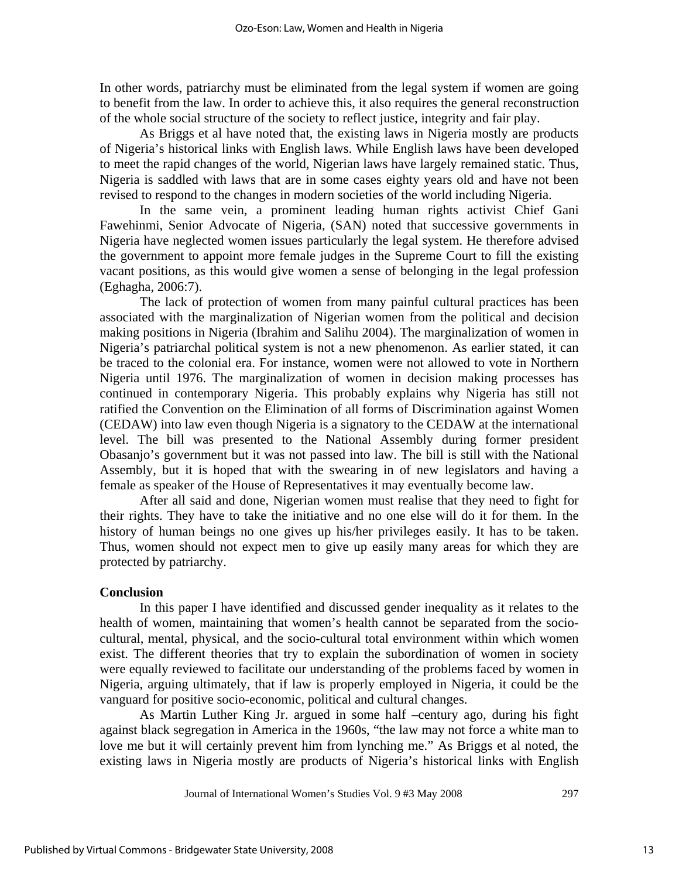In other words, patriarchy must be eliminated from the legal system if women are going to benefit from the law. In order to achieve this, it also requires the general reconstruction of the whole social structure of the society to reflect justice, integrity and fair play.

As Briggs et al have noted that, the existing laws in Nigeria mostly are products of Nigeria's historical links with English laws. While English laws have been developed to meet the rapid changes of the world, Nigerian laws have largely remained static. Thus, Nigeria is saddled with laws that are in some cases eighty years old and have not been revised to respond to the changes in modern societies of the world including Nigeria.

In the same vein, a prominent leading human rights activist Chief Gani Fawehinmi, Senior Advocate of Nigeria, (SAN) noted that successive governments in Nigeria have neglected women issues particularly the legal system. He therefore advised the government to appoint more female judges in the Supreme Court to fill the existing vacant positions, as this would give women a sense of belonging in the legal profession (Eghagha, 2006:7).

The lack of protection of women from many painful cultural practices has been associated with the marginalization of Nigerian women from the political and decision making positions in Nigeria (Ibrahim and Salihu 2004). The marginalization of women in Nigeria's patriarchal political system is not a new phenomenon. As earlier stated, it can be traced to the colonial era. For instance, women were not allowed to vote in Northern Nigeria until 1976. The marginalization of women in decision making processes has continued in contemporary Nigeria. This probably explains why Nigeria has still not ratified the Convention on the Elimination of all forms of Discrimination against Women (CEDAW) into law even though Nigeria is a signatory to the CEDAW at the international level. The bill was presented to the National Assembly during former president Obasanjo's government but it was not passed into law. The bill is still with the National Assembly, but it is hoped that with the swearing in of new legislators and having a female as speaker of the House of Representatives it may eventually become law.

After all said and done, Nigerian women must realise that they need to fight for their rights. They have to take the initiative and no one else will do it for them. In the history of human beings no one gives up his/her privileges easily. It has to be taken. Thus, women should not expect men to give up easily many areas for which they are protected by patriarchy.

#### **Conclusion**

In this paper I have identified and discussed gender inequality as it relates to the health of women, maintaining that women's health cannot be separated from the sociocultural, mental, physical, and the socio-cultural total environment within which women exist. The different theories that try to explain the subordination of women in society were equally reviewed to facilitate our understanding of the problems faced by women in Nigeria, arguing ultimately, that if law is properly employed in Nigeria, it could be the vanguard for positive socio-economic, political and cultural changes.

As Martin Luther King Jr. argued in some half –century ago, during his fight against black segregation in America in the 1960s, "the law may not force a white man to love me but it will certainly prevent him from lynching me." As Briggs et al noted, the existing laws in Nigeria mostly are products of Nigeria's historical links with English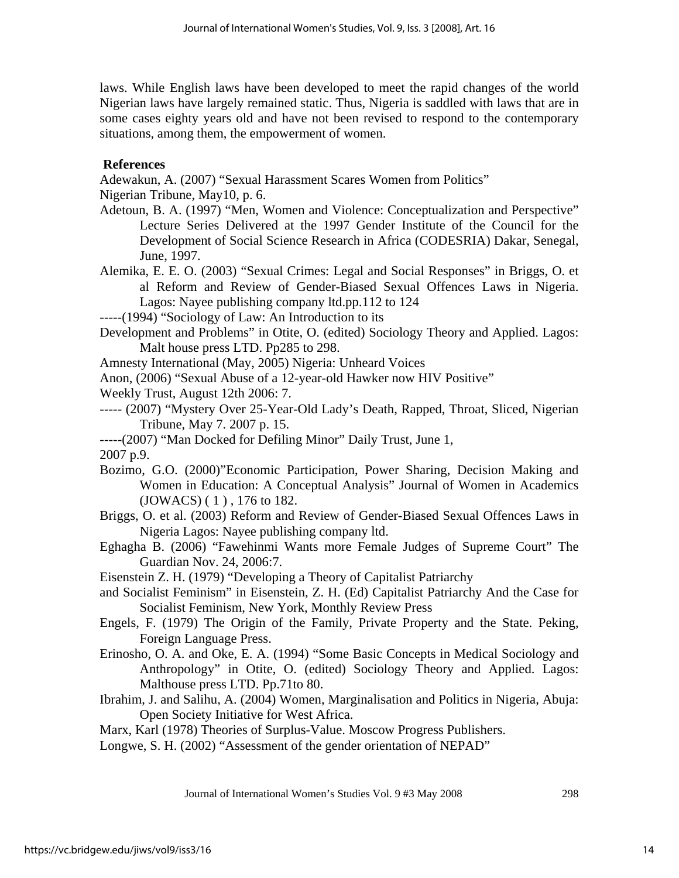laws. While English laws have been developed to meet the rapid changes of the world Nigerian laws have largely remained static. Thus, Nigeria is saddled with laws that are in some cases eighty years old and have not been revised to respond to the contemporary situations, among them, the empowerment of women.

## **References**

Adewakun, A. (2007) "Sexual Harassment Scares Women from Politics"

Nigerian Tribune, May10, p. 6.

- Adetoun, B. A. (1997) "Men, Women and Violence: Conceptualization and Perspective" Lecture Series Delivered at the 1997 Gender Institute of the Council for the Development of Social Science Research in Africa (CODESRIA) Dakar, Senegal, June, 1997.
- Alemika, E. E. O. (2003) "Sexual Crimes: Legal and Social Responses" in Briggs, O. et al Reform and Review of Gender-Biased Sexual Offences Laws in Nigeria. Lagos: Nayee publishing company ltd.pp.112 to 124

-----(1994) "Sociology of Law: An Introduction to its

- Development and Problems" in Otite, O. (edited) Sociology Theory and Applied. Lagos: Malt house press LTD. Pp285 to 298.
- Amnesty International (May, 2005) Nigeria: Unheard Voices

Anon, (2006) "Sexual Abuse of a 12-year-old Hawker now HIV Positive"

- Weekly Trust, August 12th 2006: 7.
- ----- (2007) "Mystery Over 25-Year-Old Lady's Death, Rapped, Throat, Sliced, Nigerian Tribune, May 7. 2007 p. 15.

-----(2007) "Man Docked for Defiling Minor" Daily Trust, June 1,

2007 p.9.

- Bozimo, G.O. (2000)"Economic Participation, Power Sharing, Decision Making and Women in Education: A Conceptual Analysis" Journal of Women in Academics (JOWACS) ( 1 ) , 176 to 182.
- Briggs, O. et al. (2003) Reform and Review of Gender-Biased Sexual Offences Laws in Nigeria Lagos: Nayee publishing company ltd.
- Eghagha B. (2006) "Fawehinmi Wants more Female Judges of Supreme Court" The Guardian Nov. 24, 2006:7.
- Eisenstein Z. H. (1979) "Developing a Theory of Capitalist Patriarchy
- and Socialist Feminism" in Eisenstein, Z. H. (Ed) Capitalist Patriarchy And the Case for Socialist Feminism, New York, Monthly Review Press
- Engels, F. (1979) The Origin of the Family, Private Property and the State. Peking, Foreign Language Press.
- Erinosho, O. A. and Oke, E. A. (1994) "Some Basic Concepts in Medical Sociology and Anthropology" in Otite, O. (edited) Sociology Theory and Applied. Lagos: Malthouse press LTD. Pp.71to 80.
- Ibrahim, J. and Salihu, A. (2004) Women, Marginalisation and Politics in Nigeria, Abuja: Open Society Initiative for West Africa.

Marx, Karl (1978) Theories of Surplus-Value. Moscow Progress Publishers.

Longwe, S. H. (2002) "Assessment of the gender orientation of NEPAD"